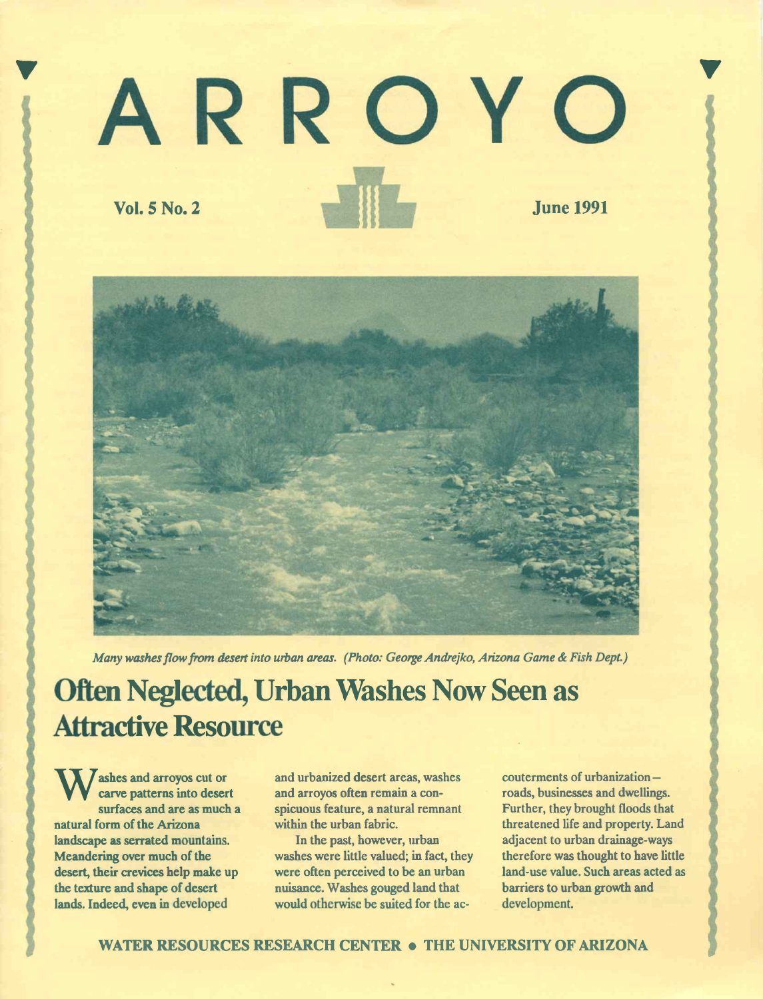# <sup>V</sup> ARROYO Vol. 5 No. 2 June 1991



Many washes flow from desert into urban areas. (Photo: George Andrejko, Arizona Game & Fish Dept.)

# Attractive Resource Often Neglected, Urban Washes Now Seen as

W carve patterns into desert ashes and arroyos cut or surfaces and are as much a natural form of the Arizona landscape as serrated mountains. Meandering over much of the desert, their crevices help make up the texture and shape of desert lands. Indeed, even in developed

and urbanized desert areas, washes and arroyos often remain a conspicuous feature, a natural remnant within the urban fabric.

In the past, however, urban washes were little valued; in fact, they were often perceived to be an urban nuisance. Washes gouged land that would otherwise be suited for the ac $counterments of urbanization$ roads, businesses and dwellings. Further, they brought floods that threatened life and property. Land adjacent to urban drainage-ways therefore was thought to have little land-use value. Such areas acted as barriers to urban growth and development.

 $\sum_{i=1}^{n}$ 

WATER RESOURCES RESEARCH CENTER . THE UNIVERSITY OF ARIZONA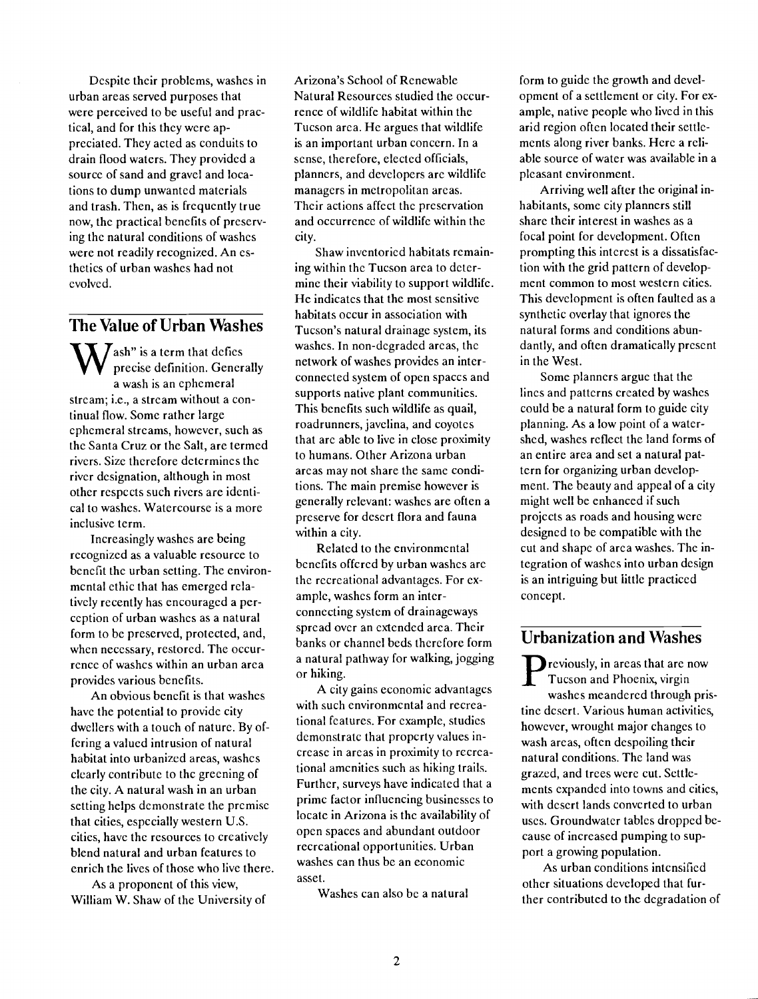Despite their problems, washes in urban areas served purposes that were perceived to be useful and practical, and for this they were appreciated. They acted as conduits to drain flood waters. They provided a source of sand and gravel and locations to dump unwanted materials and trash. Then, as is frequently true now, the practical benefits of preserving the natural conditions of washes were not readily recognized. An esthetics of urban washes had not evolved.

### The Value of Urban Washes

 $\mathbf{W}$  precise definition. Generally network  $\sum$  ash" is a term that defies a wash is an ephemeral stream; i.e., a stream without a continual flow. Some rather large ephemeral streams, however, such as the Santa Cruz or the Salt, are termed rivers. Size therefore determines the river designation, although in most other respects such rivers are identical to washes. Watercourse is a more inclusive term.

Increasingly washes are being recognized as a valuable resource to benefit the urban setting. The environmental ethic that has emerged relatively recently has encouraged a perception of urban washes as a natural form to be preserved, protected, and, when necessary, restored. The occurrence of washes within an urban area provides various benefits.

An obvious benefit is that washes have the potential to provide city dwellers with a touch of nature. By offering a valued intrusion of natural habitat into urbanized areas, washes clearly contribute to the greening of the city. A natural wash in an urban setting helps demonstrate the premise that cities, especially western U.S. cities, have the resources to creatively blend natural and urban features to enrich the lives of those who live there.

As a proponent of this view, William W. Shaw of the University of Arizona's School of Renewable Natural Resources studied the occurrence of wildlife habitat within the Tucson arca. He argues that wildlife is an important urban concern. In a sense, therefore, elected officials, planners, and developers are wildlife managers in metropolitan areas. Their actions affect the preservation and occurrence of wildlife within the city.

Shaw inventoried habitats remaining within the Tucson area to determine their viability to support wildlife. He indicates that the most sensitive habitats occur in association with Tucson's natural drainage system, its washes. In non-degraded areas, the network of washes provides an interconnected system of open spaces and supports native plant communities. This benefits such wildlife as quail, roadrunners, javelina, and coyotes that are able to live in close proximity to humans. Other Arizona urban areas may not share the same conditions. The main premise however is generally relevant: washes are often a preserve for desert flora and fauna within a city.

Related to the environmental benefits offered by urban washes are the recreational advantages. For example, washes form an interconnecting system of drainageways spread over an extended area. Their banks or channel beds therefore form a natural pathway for walking, jogging or hiking.

A city gains economic advantages with such environmental and recreational features. For example, studies demonstrate that property values increase in areas in proximity to recreational amenities such as hiking trails. Further, surveys have indicated that a prime factor influencing businesses to locate in Arizona is the availability of open spaces and abundant outdoor recreational opportunities. Urban washes can thus be an economic asset.

Washes can also be a natural

form to guide the growth and development of a settlement or city. For example, native people who lived in this arid region often located their settlements along river banks. Here a reliable source of water was available in a pleasant environment.

Arriving well after the original inhabitants, some city planners still share their interest in washes as a focal point for development. Often prompting this interest is a dissatisfaction with the grid pattern of development common to most western cities. This development is often faulted as a synthetic overlay that ignores the natural forms and conditions abundantly, and often dramatically present in the West.

Some planners argue that the lines and patterns created by washes could be a natural form to guide city planning. As a low point of a watershed, washes reflect the land forms of an entire area and set a natural pattern for organizing urban development. The beauty and appeal of a city might well be enhanced if such projects as roads and housing were designed to be compatible with the cut and shape of area washes. The integration of washes into urban design is an intriguing but little practiced concept.

#### Urbanization and Washes

**Tucson and Phoenix, virgin D** reviously, in areas that are now washes meandered through pristine desert. Various human activities, however, wrought major changes to wash arcas, often despoiling their natural conditions. The land was grazed, and trees were cut. Settlements expanded into towns and cities, with desert lands converted to urban uses. Groundwater tables dropped because of increased pumping to support a growing population.

As urban conditions intensified other situations developed that further contributed to the degradation of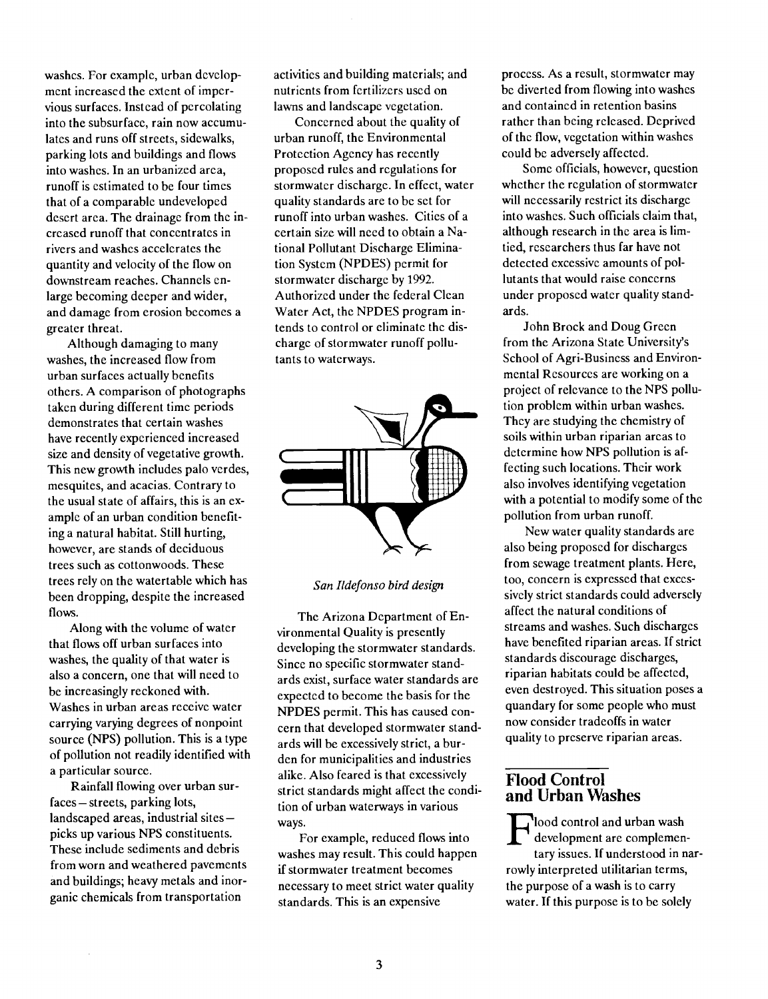washes. For example, urban development increased the extent of impervious surfaces. Instead of percolating into the subsurface, rain now accumulates and runs off streets, sidewalks, parking lots and buildings and flows into washes. In an urbanized area, runoff is estimated to be four times that of a comparable undeveloped desert area. The drainage from the increased runoff that concentrates in rivers and washes accelerates the quantity and velocity of the flow on downstream reaches. Channels enlarge becoming deeper and wider, and damage from erosion becomes a greater threat.

Although damaging to many washes, the increased flow from urban surfaces actually benefits others. A comparison of photographs taken during different time periods demonstrates that certain washes have recently experienced increased size and density of vegetative growth. This new growth includes paio verdes, mesquites, and acacias. Contrary to the usual state of affairs, this is an example of an urban condition benefiting a natural habitat. Still hurting, however, are stands of deciduous trees such as cottonwoods. These trees rely on the watertable which has been dropping, despite the increased flows.

Along with the volume of water that flows off urban surfaces into washes, the quality of that water is also a concern, one that will need to be increasingly reckoned with. Washes in urban areas receive water carrying varying degrees of nonpoint source (NPS) pollution. This is a type of pollution not readily identified with a particular source.

Rainfall flowing over urban surfaces - streets, parking lots,  $landscaped areas, industrial sites$ picks up various NPS constituents. These include sediments and debris from worn and weathered pavements and buildings; heavy metals and inorganic chemicals from transportation

activities and building materials; and nutrients from fertilizers used on lawns and landscape vegetation.

Concerned about the quality of urban runoff, the Environmental Protection Agency has recently proposed rules and regulations for stormwater discharge. In effect, water quality standards are to be set for runoff into urban washes. Cities of a certain size will need to obtain a National Pollutant Discharge Elimination System (NPDES) permit for stormwater discharge by 1992. Authorized under the federal Clean Water Act, the NPDES program intends to control or eliminate the discharge of stormwater runoff pollutants to waterways.



San Ildefonso bird design

The Arizona Department of Environmental Quality is presently developing the stormwater standards. Since no specific stormwater standards exist, surface water standards are expected to become the basis for the NPDES permit. This has caused concern that developed stormwater standards will be excessively strict, a burden for municipalities and industries alike. Also feared is that excessively strict standards might affect the condition of urban waterways in various ways.

For example, reduced flows into washes may result. This could happen if stormwater treatment becomes necessary to meet strict water quality standards. This is an expensive

process. As a result, stormwater may be diverted from flowing into washes and contained in retention basins rather than being released. Deprived of the flow, vegetation within washes could be adversely affected.

Some officials, however, question whether the regulation of stormwater will necessarily restrict its discharge into washes. Such officials claim that, although research in the area is limtied, researchers thus far have not detected excessive amounts of pollutants that would raise concerns under proposed water quality standards.

John Brock and Doug Green from the Arizona State University's School of Agri-Business and Environmental Resources are working on a project of relevance to the NPS pollution problem within urban washes. They are studying the chemistry of soils within urban riparian areas to determine how NPS pollution is affecting such locations. Their work also involves identifying vegetation with a potential to modify some of the pollution from urban runoff.

New water quality standards are also being proposed for discharges from sewage treatment plants. Here, too, concern is expressed that excessively strict standards could adversely affect the natural conditions of streams and washes. Such discharges have benefited riparian areas. If strict standards discourage discharges, riparian habitats could be affected, even destroyed. This situation poses a quandary for some people who must now consider tradeoffs in water quality to preserve riparian areas.

#### flood Control and Urban Washes

 $\Gamma$  development are complemenlood control and urban wash tary issues. If understood in narrowly interpreted utilitarian terms, the purpose of a wash is to carry water. If this purpose is to be solely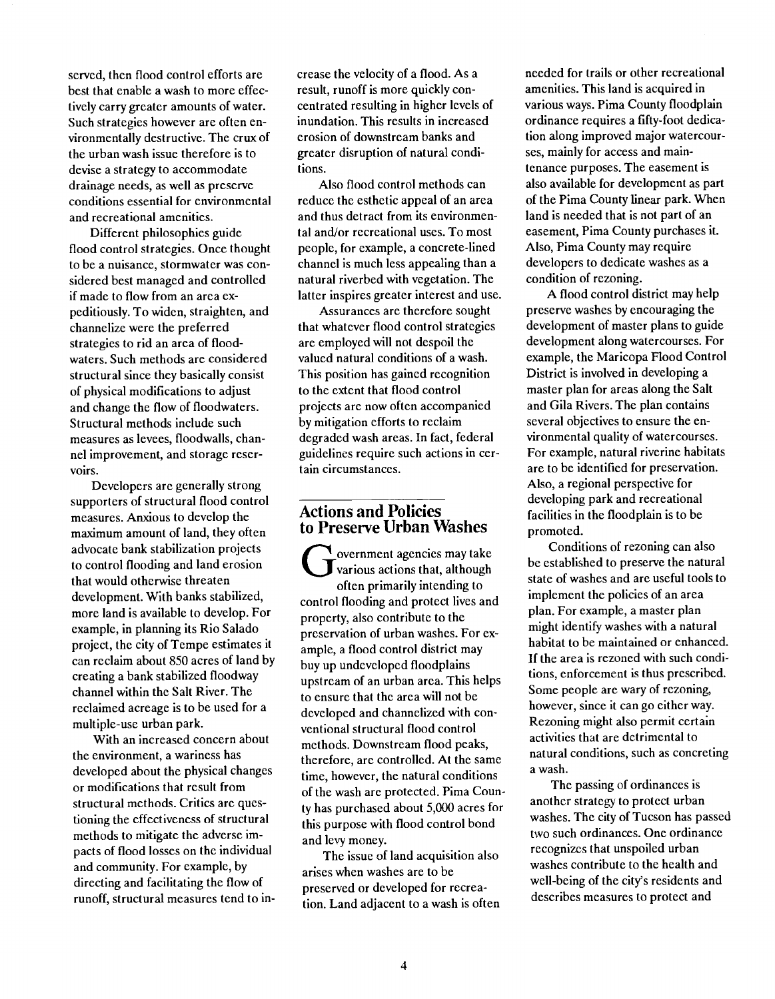served, then flood control efforts are best that enable a wash to more effectively carry greater amounts of water. Such strategies however are often environmentally destructive. The crux of the urban wash issue therefore is to devise a strategy to accommodate drainage needs, as well as preserve conditions essential for environmental and recreational amenities.

Different philosophies guide flood control strategies. Once thought to be a nuisance, stormwater was considered best managed and controlled if made to flow from an area expeditiously. To widen, straighten, and channelize were the preferred strategies to rid an area of floodwaters. Such methods are considered structural since they basically consist of physical modifications to adjust and change the flow of floodwaters. Structural methods include such measures as levees, floodwalls, channel improvement, and storage reservoirs.

Developers are generally strong supporters of structural flood control measures. Anxious to develop the maximum amount of land, they often advocate bank stabilization projects to control flooding and land erosion that would otherwise threaten development. With banks stabilized, more land is available to develop. For example, in planning its Rio Salado project, the city of Tempe estimates it can reclaim about 850 acres of land by creating a bank stabilized floodway channel within the Salt River. The reclaimed acreage is to be used for a multiple-use urban park.

With an increased concern about the environment, a wariness has developed about the physical changes or modifications that result from structural methods. Critics are questioning the effectiveness of structural methods to mitigate the adverse impacts of flood losses on the individual and community. For example, by directing and facilitating the flow of runoff, structural measures tend to increase the velocity of a flood. As a result, runoff is more quickly concentrated resulting in higher levels of inundation. This results in increased erosion of downstream banks and greater disruption of natural conditions.

Also flood control methods can reduce the esthetic appeal of an area and thus detract from its environmental and/or recreational uses. To most people, for example, a concrete-lined channel is much less appealing than a natural riverbed with vegetation. The latter inspires greater interest and use.

Assurances are therefore sought that whatever flood control strategies are employed will not despoil the valued natural conditions of a wash. This position has gained recognition to the extent that flood control projects are now often accompanied by mitigation efforts to reclaim degraded wash areas. In fact, federal guidelines require such actions in certain circumstances.

#### Actions and Policies to Preserve Urban Washes

various actions that, although  $\overline{\text{C}}$ overnment agencies may take often primarily intending to control flooding and protect lives and property, also contribute to the preservation of urban washes. For example, a flood control district may buy up undeveloped floodplains upstream of an urban area. This helps to ensure that the area will not be developed and channelized with conventional structural flood control methods. Downstream flood peaks, therefore, are controlled. At the same time, however, the natural conditions of the wash arc protected. Pima County has purchased about 5,000 acres for this purpose with flood control bond and levy money.

The issue of land acquisition also arises when washes are to be preserved or developed for recreation. Land adjacent to a wash is often needed for trails or other recreational amenities. This land is acquired in various ways. Pima County floodplain ordinance requires a fifty-foot dedication along improved major watercourses, mainly for access and maintenance purposes. The easement is also available for development as part of the Pima County linear park. When land is needed that is not part of an easement, Pima County purchases it. Also, Pima County may require developers to dedicate washes as a condition of rezoning.

A flood control district may help preserve washes by encouraging the development of master plans to guide development along watercourses. For example, the Maricopa Flood Control District is involved in developing a master plan for areas along the Salt and Gila Rivers. The plan contains several objectives to ensure the environmental quality of watercourses. For example, natural riverine habitats are to be identified for preservation. Also, a regional perspective for developing park and recreational facilities in the floodplain is to be promoted.

Conditions of rezoning can also be established to preserve the natural state of washes and are useful tools to implement the policies of an area plan. For example, a master plan might identify washes with a natural habitat to be maintained or enhanced. If the area is rezoned with such conditions, enforcement is thus prescribed. Some people are wary of rezoning, however, since it can go either way. Rezoning might also permit certain activities that are detrimental to natural conditions, such as concreting a wash.

The passing of ordinances is another strategy to protect urban washes. The city of Tucson has passed two such ordinances. One ordinance recognizes that unspoiled urban washes contribute to the health and well-being of the city's residents and describes measures to protect and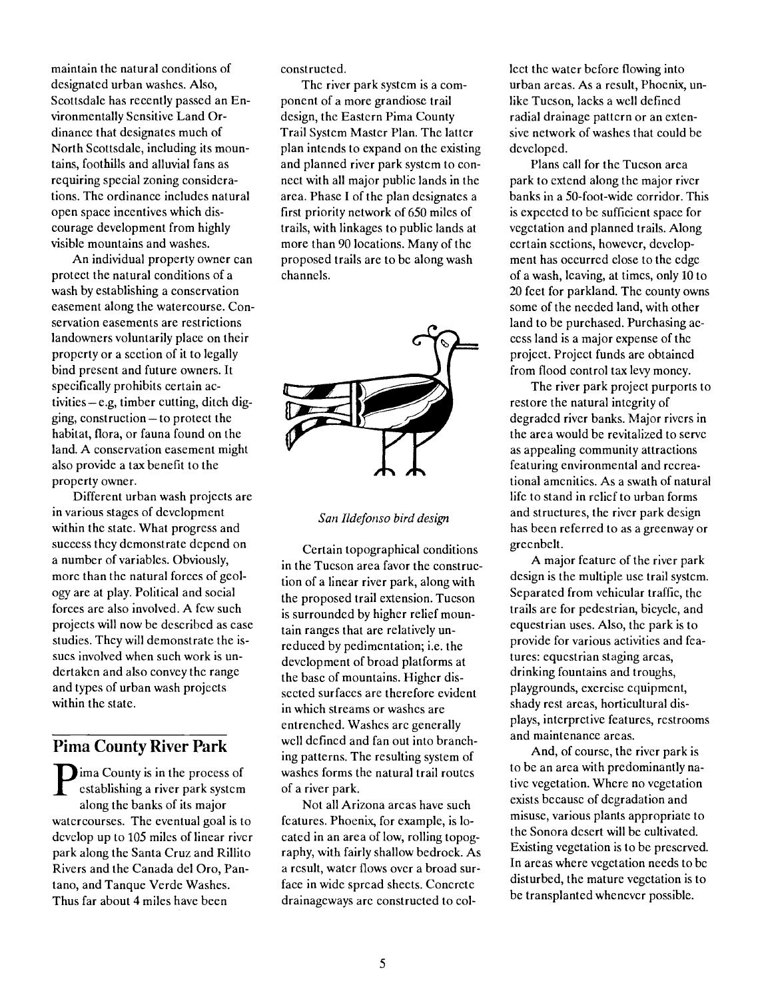maintain the natural conditions of designated urban washes. Also, Scottsdale has recently passed an Environmentally Sensitive Land Ordinance that designates much of North Scottsdale, including its mountains, foothills and alluvial fans as requiring special zoning considerations. The ordinance includes natural open space incentives which discourage development from highly visible mountains and washes.

An individual property owner can protect the natural conditions of a wash by establishing a conservation easement along the watercourse. Conservation easements are restrictions landowners voluntarily place on their property or a section of it to legally bind present and future owners. It specifically prohibits certain activities - e.g, timber cutting, ditch digging, construction $-$  to protect the habitat, flora, or fauna found on the land. A conservation easement might also provide a tax benefit to the property owner.

Different urban wash projects are in various stages of development within the state. What progress and success they demonstrate depend on a number of variables. Obviously, more than the natural forces of geology are at play. Political and social forces are also involved. A few such projects will now be described as case studies. They will demonstrate the issues involved when such work is undertaken and also convey the range and types of urban wash projects within the state.

# Pima County River Park

establishing a river park system of a river **County is in the process of** along the banks of its major watercourses. The eventual goal is to develop up to 105 miles of linear river park along the Santa Cruz and Rillito Rivers and the Canada del Oro, Pantano, and Tanque Verde Washes. Thus far about 4 miles have been

constructed.

The river park system is a component of a more grandiose trail design, the Eastern Pima County Trail System Master Plan. The latter plan intends to expand on the existing and planned river park system to connect with all major public lands in the area. Phase I of the plan designates a first priority network of 650 miles of trails, with linkages to public lands at more than 90 locations. Many of the proposed trails are to be along wash channels.



San Ildefonso bird design

Certain topographical conditions in the Tucson area favor the construction of a linear river park, along with the proposed trail extension. Tucson is surrounded by higher relief mountain ranges that are relatively unreduced by pedimentation; i.e. the development of broad platforms at the base of mountains. Higher dissected surfaces are therefore evident in which streams or washes are entrenched. Washes are generally well defined and fan out into branching patterns. The resulting system of washes forms the natural trail routes of a river park.

Not all Arizona areas have such features. Phoenix, for example, is located in an area of low, rolling topography, with fairly shallow bedrock. As a result, water flows over a broad surface in wide spread sheets. Concrete drainageways are constructed to collect the water before flowing into urban areas. As a result, Phoenix, unlike Tucson, lacks a well defined radial drainage pattern or an extensive network of washes that could be developed.

Plans call for the Tucson area park to extend along the major river banks in a 50-foot-wide corridor. This is expected to be sufficient space for vegetation and planned trails. Along certain sections, however, development has occurred close to the edge of a wash, leaving, at times, only 10 to 20 feet for parkland. The county owns some of the needed land, with other land to be purchased. Purchasing access land is a major expense of the project. Project funds are obtained from flood control tax levy money.

The river park project purports to restore the natural integrity of degraded river banks. Major rivers in the area would be revitalized to serve as appealing community attractions featuring environmental and recreational amenities. As a swath of natural life to stand in relief to urban forms and structures, the river park design has been referred to as a greenway or greenbelt.

A major feature of the river park design is the multiple use trail system. Separated from vehicular traffic, the trails are for pedestrian, bicycle, and equestrian uses. Also, the park is to provide for various activities and features: equestrian staging areas, drinking fountains and troughs, playgrounds, exercise equipment, shady rest areas, horticultural displays, interpretive features, restrooms and maintenance areas.

And, of course, the river park is to be an area with predominantly native vegetation. Where no vegetation exists because of degradation and misuse, various plants appropriate to the Sonora desert will be cultivated. Existing vegetation is to be preserved. In areas where vegetation needs to be disturbed, the mature vegetation is to be transplanted whenever possible.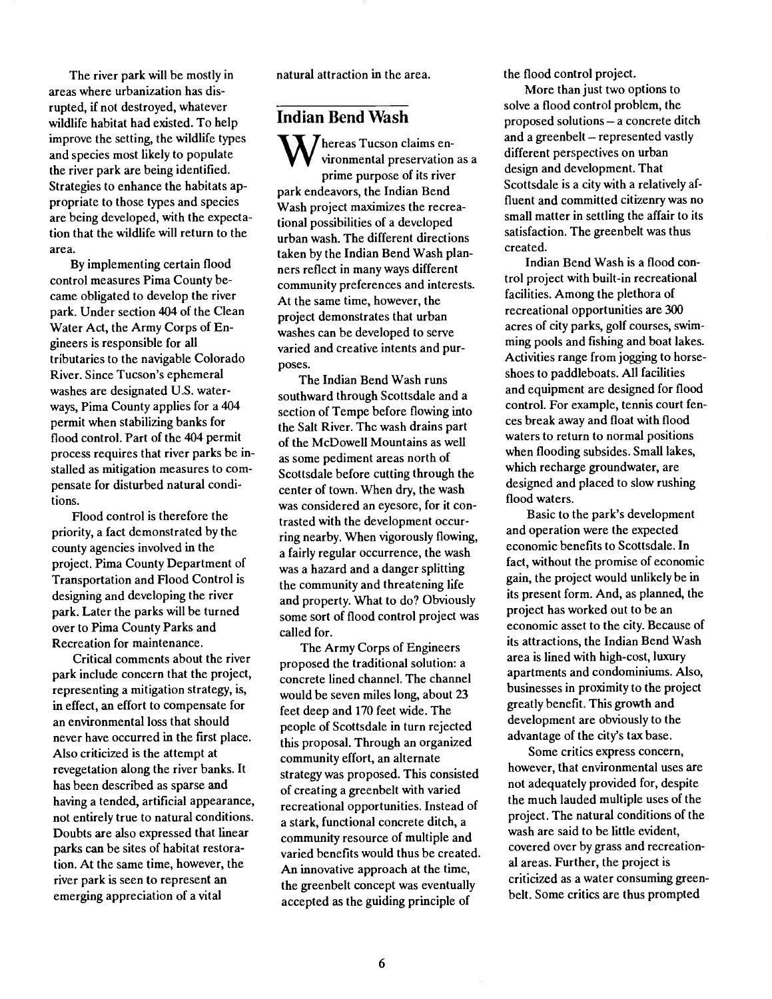The river park will be mostly in areas where urbanization has disrupted, if not destroyed, whatever wildlife habitat had existed. To help improve the setting, the wildlife types and species most likely to populate the river park are being identified. Strategies to enhance the habitats appropriate to those types and species are being developed, with the expectation that the wildlife will return to the area.

By implementing certain flood control measures Pima County became obligated to develop the river park. Under section 404 of the Clean Water Act, the Army Corps of Engineers is responsible for all tributaries to the navigable Colorado River. Since Tucson's ephemeral washes are designated U.S. waterways, Pima County applies for a 404 permit when stabilizing banks for flood control. Part of the 404 permit process requires that river parks be installed as mitigation measures to compensate for disturbed natural conditions.

Flood control is therefore the priority, a fact demonstrated by the county agencies involved in the project. Pima County Department of Transportation and Flood Control is designing and developing the river park. Later the parks will be turned over to Pima County Parks and Recreation for maintenance.

Critical comments about the river park include concern that the project, representing a mitigation strategy, is, in effect, an effort to compensate for an environmental loss that should never have occurred in the first place. Also criticized is the attempt at revegetation along the river banks. It has been described as sparse and having a tended, artificial appearance, not entirely true to natural conditions. Doubts are also expressed that linear parks can be sites of habitat restoration. At the same time, however, the river park is seen to represent an emerging appreciation of a vital

natural attraction in the area.

#### Indian Bend Wash

 $\mathbf{V}\mathbf{V}$  vironmental preservation as a differential desired  $\sum$  hereas Tucson claims enprime purpose of its river park endeavors, the Indian Bend Wash project maximizes the recreational possibilities of a developed urban wash. The different directions taken by the Indian Bend Wash planners reflect in many ways different community preferences and interests. At the same time, however, the project demonstrates that urban washes can be developed to serve varied and creative intents and purposes.

The Indian Bend Wash runs southward through Scottsdale and a section of Tempe before flowing into the Salt River. The wash drains part of the McDowell Mountains as well as some pediment areas north of Scottsdale before cutting through the center of town. When dry, the wash was considered an eyesore, for it contrasted with the development occurring nearby. When vigorously flowing, a fairly regular occurrence, the wash was a hazard and a danger splitting the community and threatening life and property. What to do? Obviously some sort of flood control project was called for.

The Army Corps of Engineers proposed the traditional solution: a concrete lined channel. The channel would be seven miles long, about 23 feet deep and 170 feet wide. The people of Scottsdale in turn rejected this proposal. Through an organized community effort, an alternate strategy was proposed. This consisted of creating a greenbelt with varied recreational opportunities. Instead of a stark, functional concrete ditch, a community resource of multiple and varied benefits would thus be created. An innovative approach at the time, the greenbelt concept was eventually accepted as the guiding principle of

the flood control project.

More than just two options to solve a flood control problem, the proposed solutions - a concrete ditch and a greenbelt - represented vastly different perspectives on urban design and development. That Scottsdale is a city with a relatively affluent and committed citizenry was no small matter in settling the affair to its satisfaction. The greenbelt was thus created.

Indian Bend Wash is a flood control project with built-in recreational facilities. Among the plethora of recreational opportunities are 300 acres of city parks, golf courses, swimming pools and fishing and boat lakes. Activities range from jogging to horseshoes to paddleboats. All facilities and equipment are designed for flood control. For example, tennis court fences break away and float with flood waters to return to normal positions when flooding subsides. Small lakes, which recharge groundwater, are designed and placed to slow rushing flood waters.

Basic to the park's development and operation were the expected economic benefits to Scottsdale. In fact, without the promise of economic gain, the project would unlikely be in its present form. And, as planned, the project has worked out to be an economic asset to the city. Because of its attractions, the Indian Bend Wash area is lined with high-cost, luxury apartments and condominiums. Also, businesses in proximity to the project greatly benefit. This growth and development are obviously to the advantage of the city's tax base.

Some critics express concern, however, that environmental uses are not adequately provided for, despite the much lauded multiple uses of the project. The natural conditions of the wash are said to be little evident, covered over by grass and recreational areas. Further, the project is criticized as a water consuming greenbelt. Some critics are thus prompted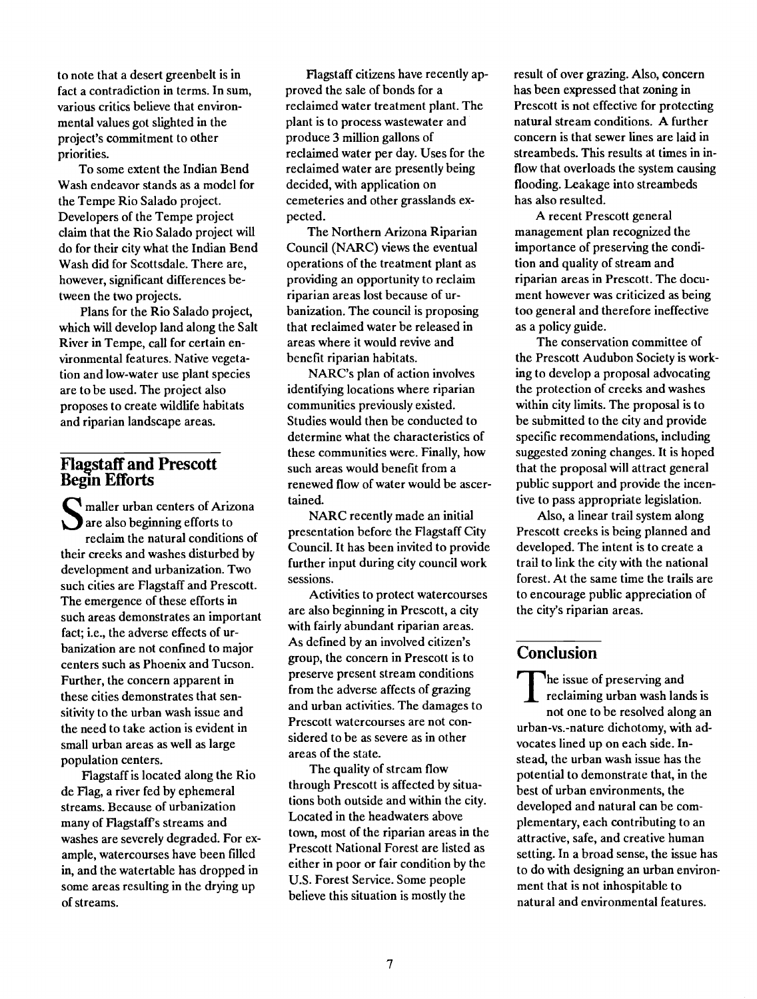to note that a desert greenbelt is in fact a contradiction in terms. In sum, various critics believe that environmental values got slighted in the project's commitment to other priorities.

To some extent the Indian Bend Wash endeavor stands as a model for the Tempe Rio Salado project. Developers of the Tempe project claim that the Rio Salado project will do for their city what the Indian Bend Wash did for Scottsdale. There are, however, significant differences between the two projects.

Plans for the Rio Salado project, which will develop land along the Salt River in Tempe, call for certain environmental features. Native vegetation and low-water use plant species are to be used. The project also proposes to create wildlife habitats and riparian landscape areas.

#### FIastaff and Prescott Begin Efforts

 $\sum$  are also beginning efforts to maller urban centers of Arizona reclaim the natural conditions of their creeks and washes disturbed by development and urbanization. Two such cities are Flagstaff and Prescott. The emergence of these efforts in such areas demonstrates an important fact; i.e., the adverse effects of urbanization are not confined to major centers such as Phoenix and Tucson. Further, the concern apparent in these cities demonstrates that sensitivity to the urban wash issue and the need to take action is evident in small urban areas as well as large population centers.

Flagstaff is located along the Rio de Flag, a river fed by ephemeral streams. Because of urbanization many of Flagstaff's streams and washes are severely degraded. For example, watercourses have been filled in, and the watertable has dropped in some areas resulting in the drying up of streams.

Flagstaff citizens have recently approved the sale of bonds for a reclaimed water treatment plant. The plant is to process wastewater and produce 3 million gallons of reclaimed water per day. Uses for the reclaimed water are presently being decided, with application on cemeteries and other grasslands expected.

The Northern Arizona Riparian Council (NARC) views the eventual operations of the treatment plant as providing an opportunity to reclaim riparian areas lost because of urbanization. The council is proposing that reclaimed water be released in areas where it would revive and benefit riparian habitats.

NARC's plan of action involves identifying locations where riparian communities previously existed. Studies would then be conducted to determine what the characteristics of these communities were. Finally, how such areas would benefit from a renewed flow of water would be ascertained.

NARC recently made an initial presentation before the Flagstaff City Council. It has been invited to provide further input during city council work sessions.

Activities to protect watercourses are also beginning in Prescott, a city with fairly abundant riparian areas. As defined by an involved citizen's group, the concern in Prescott is to preserve present stream conditions from the adverse affects of grazing and urban activities. The damages to Prescott watercourses are not considered to be as severe as in other areas of the state.

The quality of stream flow through Prescott is affected by situations both outside and within the city. Located in the headwaters above town, most of the riparian areas in the Prescott National Forest are listed as either in poor or fair condition by the U.S. Forest Service. Some people believe this situation is mostly the

result of over grazing. Also, concern has been expressed that zoning in Prescott is not effective for protecting natural stream conditions. A further concern is that sewer lines are laid in streambeds. This results at times in inflow that overloads the system causing flooding. Leakage into streambeds has also resulted.

A recent Prescott general management plan recognized the importance of preserving the condition and quality of stream and riparian areas in Prescott. The document however was criticized as being too general and therefore ineffective as a policy guide.

The conservation committee of the Prescott Audubon Society is working to develop a proposal advocating the protection of creeks and washes within city limits. The proposal is to be submitted to the city and provide specific recommendations, including suggested zoning changes. It is hoped that the proposal will attract general public support and provide the incentive to pass appropriate legislation.

Also, a linear trail system along Prescott creeks is being planned and developed. The intent is to create a trail to link the city with the national forest. At the same time the trails are to encourage public appreciation of the city's riparian areas.

# **Conclusion**

The state of preserving and The issue of preserving and not one to be resolved along an urban-vs.-nature dichotomy, with advocates lined up on each side. Instead, the urban wash issue has the potential to demonstrate that, in the best of urban environments, the developed and natural can be complementary, each contributing to an attractive, safe, and creative human setting. In a broad sense, the issue has to do with designing an urban environment that is not inhospitable to natural and environmental features.